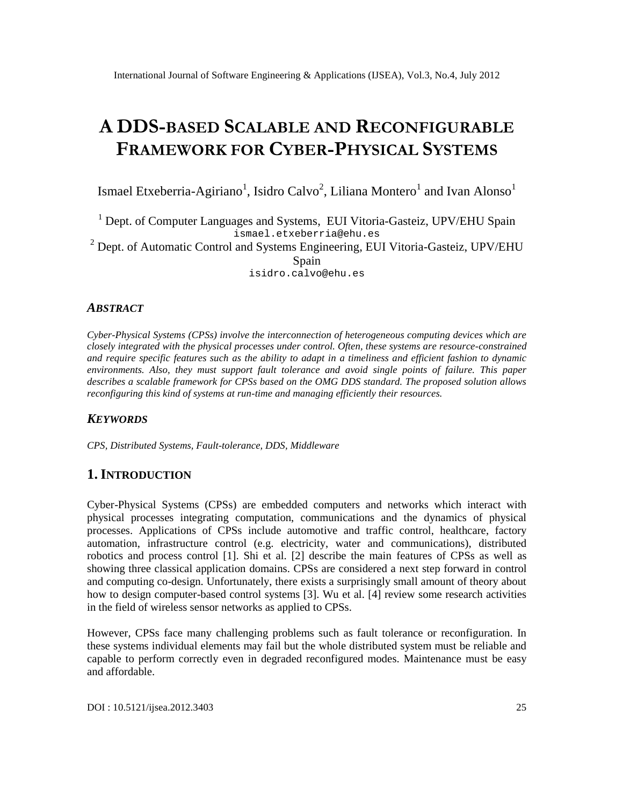# ADD SBASESCALABLE ARNEDCONFIGURABLE FRAMEWORK COBRERPHYSICAL STEMS

Ismael EtxeberriaAgiriano<sup>1</sup>, Isidro Calvo, Liliana Montero and Ivan Alonso

 $1$  Dept. of Computer Languages and Systembl Vitoria-Gasteiz, UPV/EHU Spain ismael.et[xeberria@ehu.es](mailto:etxeberria@ehu.es)  $2$  Dept. of Automatic Control and Systems Engineering Ulitoria-Gasteiz, UPV/EHU **Spain** isidro.cal[vo@ehu.es](mailto:calvo@ehu.es)

# ABSTRACT

Cyber-PhysicalSystems (CPS) involve the interconnection of heterogeneous computing devices which are closely integrated with the physical processes under control. Often, these systems are-constructioned and require specific features such as the ability to adapt timeliness and efficient fashion to dynamic environments. Also, they must support fault tolerance and avoid single points of failure. This paper describes a scalable framework for CBB ased on the OMG DDS standard. The proposed solution allows reconfiguring this kind of systems at rultime and managing efficiently their resources.

## **KEYWORDS**

CPS, Distributed Systemsall t-tolerance, DDS, Middleware

# 1.I NTRODUCTION

Cyber-Physical Systems (CRSare embedded computers and networks which interact with physical processes integrating computation, communications and the dynamics of physical processes. Applications **of PSs** include automotive and traffic control, healthcare, factory automation, infratsucture control (e.g. electricity, water and communications), distributed robotics and process control  $[1]$ . Shi et al.  $[2]$  describe the meainures of CPS as well as showing three classical application domains. C<sub>RS</sub> considered a next step forward control and computing colesign. Unfortunately, there exists a surprisingly small amount of theory about how to design computerased control systems [3]. Wu et al. [4] review some research activities in the field of wireless sensor networks as applie  $CPRS$ .

However, CPS face many challenging problems such as fault tolerance or reconfiguration. In these systems individual elements may fail but the whole distributed system must be reliable and capable to perform correctly even in degraded reconfigured modes. Maintenastchementsy and affordable.

DOI : 10.5121/ijsea.2012.3403 25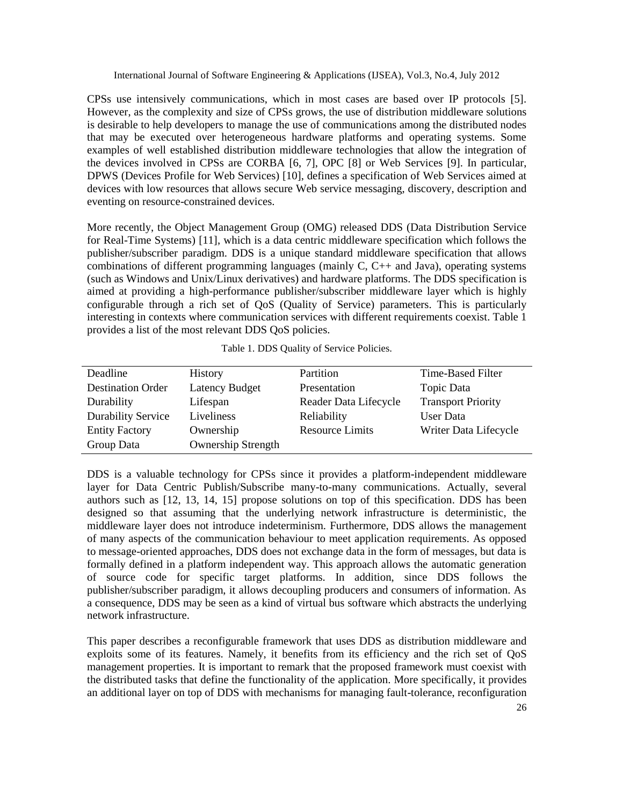CPSs use intensively communications, which in most cases are based over IP protocols [5]. However, as the complexity and size of CPSs grows, the use of distribution middleware solutions is desirable to help developers to manage the use of communications among the distributed nodes that may be executed over heterogeneous hardware platforms and operating systems. Some examples of well established distribution middleware technologies that allow the integration of the devices involved in CPSs are CORBA [6, 7], OPC [8] or Web Services [9]. In particular, DPWS (Devices Profile for Web Services) [10], defines a specification of Web Services aimed at devices with low resources that allows secure Web service messaging, discovery, description and eventing on resource-constrained devices.

More recently, the Object Management Group (OMG) released DDS (Data Distribution Service for Real-Time Systems) [11], which is a data centric middleware specification which follows the publisher/subscriber paradigm. DDS is a unique standard middleware specification that allows combinations of different programming languages (mainly C, C++ and Java), operating systems (such as Windows and Unix/Linux derivatives) and hardware platforms. The DDS specification is aimed at providing a high-performance publisher/subscriber middleware layer which is highly configurable through a rich set of QoS (Quality of Service) parameters. This is particularly interesting in contexts where communication services with different requirements coexist. Table 1 provides a list of the most relevant DDS QoS policies.

| Deadline                  | <b>History</b>            | Partition              | Time-Based Filter         |
|---------------------------|---------------------------|------------------------|---------------------------|
| <b>Destination Order</b>  | <b>Latency Budget</b>     | Presentation           | Topic Data                |
| Durability                | Lifespan                  | Reader Data Lifecycle  | <b>Transport Priority</b> |
| <b>Durability Service</b> | Liveliness                | Reliability            | User Data                 |
| <b>Entity Factory</b>     | Ownership                 | <b>Resource Limits</b> | Writer Data Lifecycle     |
| Group Data                | <b>Ownership Strength</b> |                        |                           |
|                           |                           |                        |                           |

DDS is a valuable technology for CPSs since it provides a platform-independent middleware layer for Data Centric Publish/Subscribe many-to-many communications. Actually, several authors such as [12, 13, 14, 15] propose solutions on top of this specification. DDS has been designed so that assuming that the underlying network infrastructure is deterministic, the middleware layer does not introduce indeterminism. Furthermore, DDS allows the management of many aspects of the communication behaviour to meet application requirements. As opposed to message-oriented approaches, DDS does not exchange data in the form of messages, but data is formally defined in a platform independent way. This approach allows the automatic generation of source code for specific target platforms. In addition, since DDS follows the publisher/subscriber paradigm, it allows decoupling producers and consumers of information. As a consequence, DDS may be seen as a kind of virtual bus software which abstracts the underlying network infrastructure.

This paper describes a reconfigurable framework that uses DDS as distribution middleware and exploits some of its features. Namely, it benefits from its efficiency and the rich set of QoS management properties. It is important to remark that the proposed framework must coexist with the distributed tasks that define the functionality of the application. More specifically, it provides an additional layer on top of DDS with mechanisms for managing fault-tolerance, reconfiguration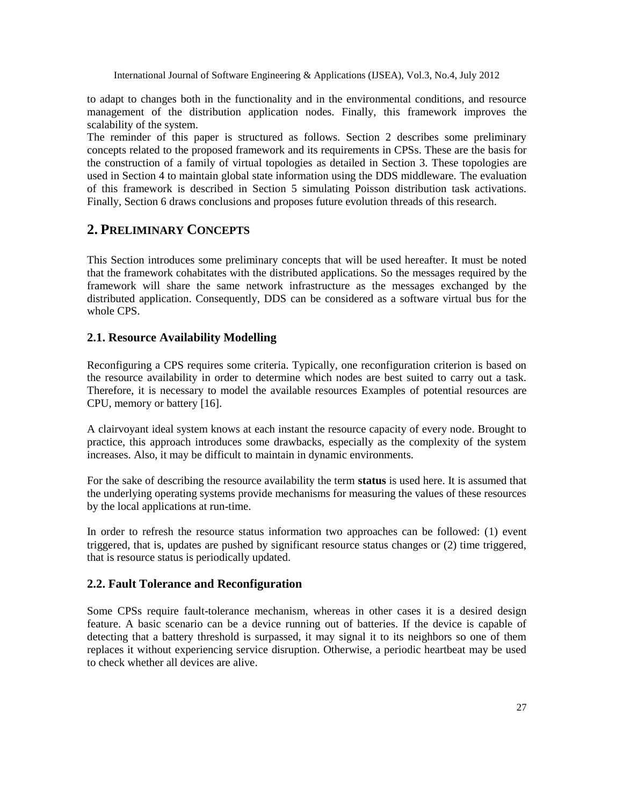to adapt to changes both in the functionality and in the environmental conditions, and resource management of the distribution application nodes. Finally, this framework improves the scalability of the system.

The reminder of this paper is structured as follows. Section 2 describes some preliminary concepts related to the proposed framework and its requirements in CPSs. These are the basis for the construction of a family of virtual topologies as detailed in Section 3. These topologies are used in Section 4 to maintain global state information using the DDS middleware. The evaluation of this framework is described in Section 5 simulating Poisson distribution task activations. Finally, Section 6 draws conclusions and proposes future evolution threads of this research.

# **2. PRELIMINARY CONCEPTS**

This Section introduces some preliminary concepts that will be used hereafter. It must be noted that the framework cohabitates with the distributed applications. So the messages required by the framework will share the same network infrastructure as the messages exchanged by the distributed application. Consequently, DDS can be considered as a software virtual bus for the whole CPS.

## **2.1. Resource Availability Modelling**

Reconfiguring a CPS requires some criteria. Typically, one reconfiguration criterion is based on the resource availability in order to determine which nodes are best suited to carry out a task. Therefore, it is necessary to model the available resources Examples of potential resources are CPU, memory or battery [16].

A clairvoyant ideal system knows at each instant the resource capacity of every node. Brought to practice, this approach introduces some drawbacks, especially as the complexity of the system increases. Also, it may be difficult to maintain in dynamic environments.

For the sake of describing the resource availability the term **status** is used here. It is assumed that the underlying operating systems provide mechanisms for measuring the values of these resources by the local applications at run-time.

In order to refresh the resource status information two approaches can be followed: (1) event triggered, that is, updates are pushed by significant resource status changes or (2) time triggered, that is resource status is periodically updated.

## **2.2. Fault Tolerance and Reconfiguration**

Some CPSs require fault-tolerance mechanism, whereas in other cases it is a desired design feature. A basic scenario can be a device running out of batteries. If the device is capable of detecting that a battery threshold is surpassed, it may signal it to its neighbors so one of them replaces it without experiencing service disruption. Otherwise, a periodic heartbeat may be used to check whether all devices are alive.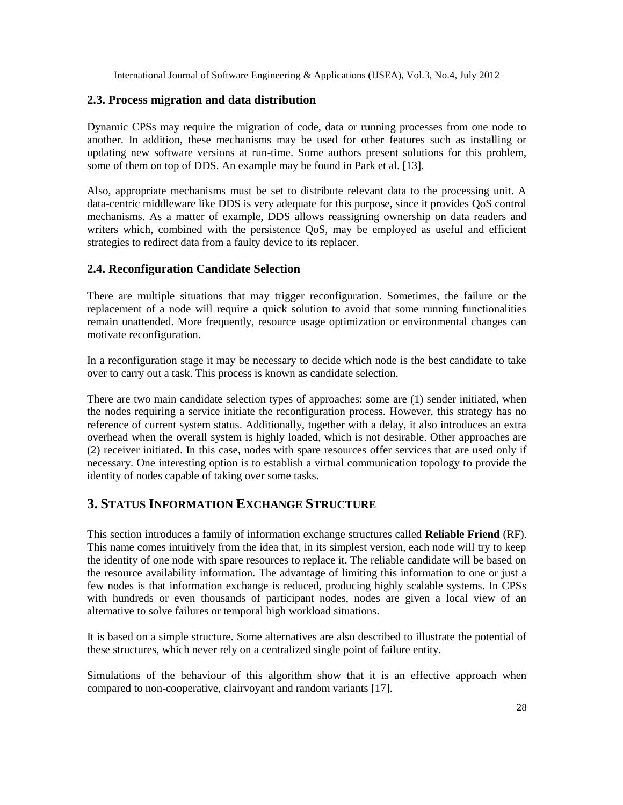#### **2.3. Process migration and data distribution**

Dynamic CPSs may require the migration of code, data or running processes from one node to another. In addition, these mechanisms may be used for other features such as installing or updating new software versions at run-time. Some authors present solutions for this problem, some of them on top of DDS. An example may be found in Park et al. [13].

Also, appropriate mechanisms must be set to distribute relevant data to the processing unit. A data-centric middleware like DDS is very adequate for this purpose, since it provides QoS control mechanisms. As a matter of example, DDS allows reassigning ownership on data readers and writers which, combined with the persistence QoS, may be employed as useful and efficient strategies to redirect data from a faulty device to its replacer.

#### **2.4. Reconfiguration Candidate Selection**

There are multiple situations that may trigger reconfiguration. Sometimes, the failure or the replacement of a node will require a quick solution to avoid that some running functionalities remain unattended. More frequently, resource usage optimization or environmental changes can motivate reconfiguration.

In a reconfiguration stage it may be necessary to decide which node is the best candidate to take over to carry out a task. This process is known as candidate selection.

There are two main candidate selection types of approaches: some are (1) sender initiated, when the nodes requiring a service initiate the reconfiguration process. However, this strategy has no reference of current system status. Additionally, together with a delay, it also introduces an extra overhead when the overall system is highly loaded, which is not desirable. Other approaches are (2) receiver initiated. In this case, nodes with spare resources offer services that are used only if necessary. One interesting option is to establish a virtual communication topology to provide the identity of nodes capable of taking over some tasks.

# **3. STATUS INFORMATION EXCHANGE STRUCTURE**

This section introduces a family of information exchange structures called **Reliable Friend** (RF). This name comes intuitively from the idea that, in its simplest version, each node will try to keep the identity of one node with spare resources to replace it. The reliable candidate will be based on the resource availability information. The advantage of limiting this information to one or just a few nodes is that information exchange is reduced, producing highly scalable systems. In CPSs with hundreds or even thousands of participant nodes, nodes are given a local view of an alternative to solve failures or temporal high workload situations.

It is based on a simple structure. Some alternatives are also described to illustrate the potential of these structures, which never rely on a centralized single point of failure entity.

Simulations of the behaviour of this algorithm show that it is an effective approach when compared to non-cooperative, clairvoyant and random variants [17].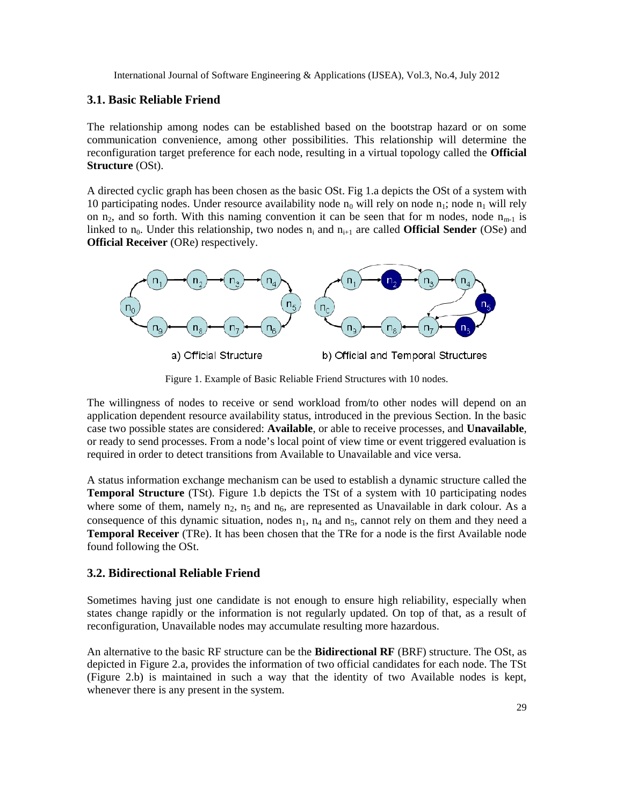#### **3.1. Basic Reliable Friend**

The relationship among nodes can be established based on the bootstrap hazard or on some communication convenience, among other possibilities. This relationship will determine the reconfiguration target preference for each node, resulting in a virtual topology called the **Official Structure** (OSt).

A directed cyclic graph has been chosen as the basic OSt. Fig 1.a depicts the OSt of a system with 10 participating nodes. Under resource availability node  $n_0$  will rely on node  $n_1$ ; node  $n_1$  will rely on  $n_2$ , and so forth. With this naming convention it can be seen that for m nodes, node  $n_{m-1}$  is linked to  $n_0$ . Under this relationship, two nodes  $n_i$  and  $n_{i+1}$  are called **Official Sender** (OSe) and **Official Receiver** (ORe) respectively.



a) Official Structure

b) Official and Temporal Structures

Figure 1. Example of Basic Reliable Friend Structures with 10 nodes.

The willingness of nodes to receive or send workload from/to other nodes will depend on an application dependent resource availability status, introduced in the previous Section. In the basic case two possible states are considered: **Available**, or able to receive processes, and **Unavailable**, or ready to send processes. From a node's local point of view time or event triggered evaluation is required in order to detect transitions from Available to Unavailable and vice versa.

A status information exchange mechanism can be used to establish a dynamic structure called the **Temporal Structure** (TSt). Figure 1.b depicts the TSt of a system with 10 participating nodes where some of them, namely  $n_2$ ,  $n_5$  and  $n_6$ , are represented as Unavailable in dark colour. As a consequence of this dynamic situation, nodes  $n_1$ ,  $n_4$  and  $n_5$ , cannot rely on them and they need a **Temporal Receiver** (TRe). It has been chosen that the TRe for a node is the first Available node found following the OSt.

#### **3.2. Bidirectional Reliable Friend**

Sometimes having just one candidate is not enough to ensure high reliability, especially when states change rapidly or the information is not regularly updated. On top of that, as a result of reconfiguration, Unavailable nodes may accumulate resulting more hazardous.

An alternative to the basic RF structure can be the **Bidirectional RF** (BRF) structure. The OSt, as depicted in Figure 2.a, provides the information of two official candidates for each node. The TSt (Figure 2.b) is maintained in such a way that the identity of two Available nodes is kept, whenever there is any present in the system.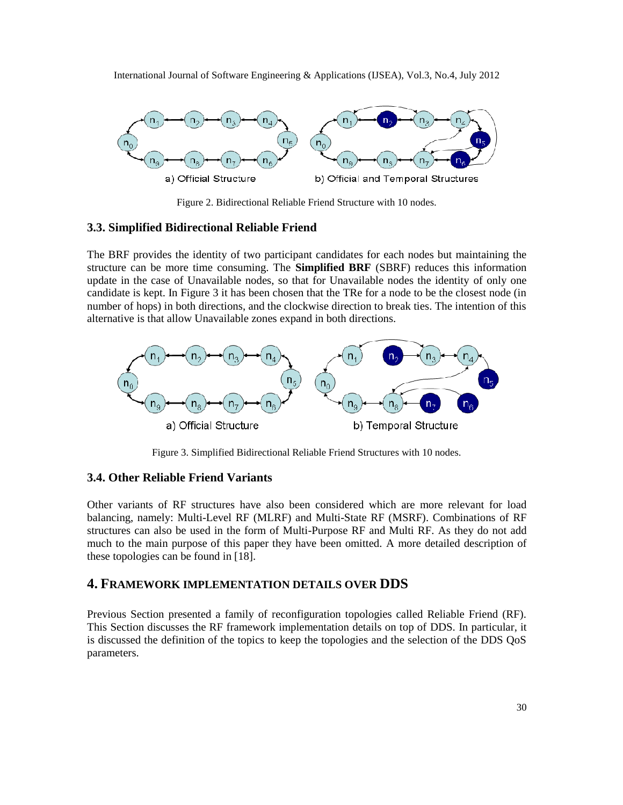

Figure 2. Bidirectional Reliable Friend Structure with 10 nodes.

#### **3.3. Simplified Bidirectional Reliable Friend**

The BRF provides the identity of two participant candidates for each nodes but maintaining the structure can be more time consuming. The **Simplified BRF** (SBRF) reduces this information update in the case of Unavailable nodes, so that for Unavailable nodes the identity of only one candidate is kept. In Figure 3 it has been chosen that the TRe for a node to be the closest node (in number of hops) in both directions, and the clockwise direction to break ties. The intention of this alternative is that allow Unavailable zones expand in both directions.



Figure 3. Simplified Bidirectional Reliable Friend Structures with 10 nodes.

## **3.4. Other Reliable Friend Variants**

Other variants of RF structures have also been considered which are more relevant for load balancing, namely: Multi-Level RF (MLRF) and Multi-State RF (MSRF). Combinations of RF structures can also be used in the form of Multi-Purpose RF and Multi RF. As they do not add much to the main purpose of this paper they have been omitted. A more detailed description of these topologies can be found in [18].

### **4. FRAMEWORK IMPLEMENTATION DETAILS OVER DDS**

Previous Section presented a family of reconfiguration topologies called Reliable Friend (RF). This Section discusses the RF framework implementation details on top of DDS. In particular, it is discussed the definition of the topics to keep the topologies and the selection of the DDS QoS parameters.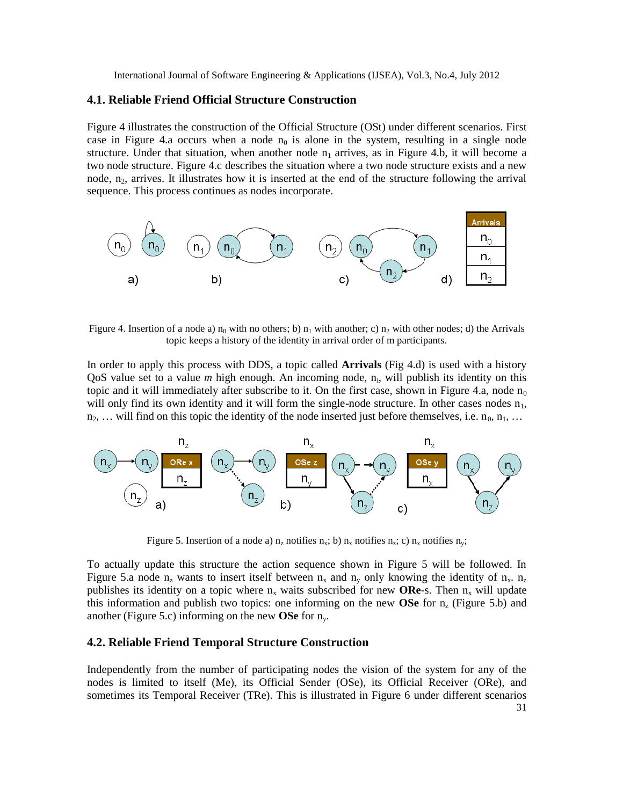#### **4.1. Reliable Friend Official Structure Construction**

Figure 4 illustrates the construction of the Official Structure (OSt) under different scenarios. First case in Figure 4.a occurs when a node  $n_0$  is alone in the system, resulting in a single node structure. Under that situation, when another node  $n_1$  arrives, as in Figure 4.b, it will become a two node structure. Figure 4.c describes the situation where a two node structure exists and a new node,  $n_2$ , arrives. It illustrates how it is inserted at the end of the structure following the arrival sequence. This process continues as nodes incorporate.



Figure 4. Insertion of a node a)  $n_0$  with no others; b)  $n_1$  with another; c)  $n_2$  with other nodes; d) the Arrivals topic keeps a history of the identity in arrival order of m participants.

In order to apply this process with DDS, a topic called **Arrivals** (Fig 4.d) is used with a history QoS value set to a value *m* high enough. An incoming node, n<sub>i</sub>, will publish its identity on this topic and it will immediately after subscribe to it. On the first case, shown in Figure 4.a, node  $n_0$ will only find its own identity and it will form the single-node structure. In other cases nodes  $n_1$ ,  $n_2, \ldots$  will find on this topic the identity of the node inserted just before themselves, i.e.  $n_0, n_1, \ldots$ 



Figure 5. Insertion of a node a)  $n_z$  notifies  $n_x$ ; b)  $n_x$  notifies  $n_z$ ; c)  $n_x$  notifies  $n_y$ ;

To actually update this structure the action sequence shown in Figure 5 will be followed. In Figure 5.a node  $n_z$  wants to insert itself between  $n_x$  and  $n_y$  only knowing the identity of  $n_x$ .  $n_z$ publishes its identity on a topic where  $n_x$  waits subscribed for new **ORe**-s. Then  $n_x$  will update this information and publish two topics: one informing on the new **OSe** for  $n<sub>z</sub>$  (Figure 5.b) and another (Figure 5.c) informing on the new **OSe** for ny.

#### **4.2. Reliable Friend Temporal Structure Construction**

31 Independently from the number of participating nodes the vision of the system for any of the nodes is limited to itself (Me), its Official Sender (OSe), its Official Receiver (ORe), and sometimes its Temporal Receiver (TRe). This is illustrated in Figure 6 under different scenarios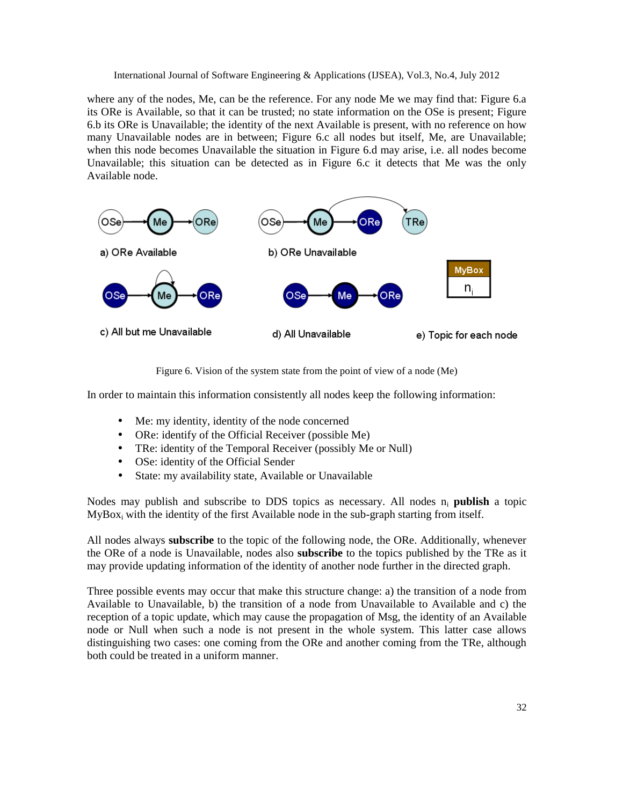where any of the nodes, Me, can be the reference. For any node Me we may find that: Figure 6.a its ORe is Available, so that it can be trusted; no state information on the OSe is present; Figure 6.b its ORe is Unavailable; the identity of the next Available is present, with no reference on how many Unavailable nodes are in between; Figure 6.c all nodes but itself, Me, are Unavailable; when this node becomes Unavailable the situation in Figure 6.d may arise, i.e. all nodes become Unavailable; this situation can be detected as in Figure 6.c it detects that Me was the only Available node.



Figure 6. Vision of the system state from the point of view of a node (Me)

In order to maintain this information consistently all nodes keep the following information:

- Me: my identity, identity of the node concerned
- ORe: identify of the Official Receiver (possible Me)
- TRe: identity of the Temporal Receiver (possibly Me or Null)
- OSe: identity of the Official Sender
- State: my availability state, Available or Unavailable

Nodes may publish and subscribe to DDS topics as necessary. All nodes  $n_i$  **publish** a topic MyBox<sub>i</sub> with the identity of the first Available node in the sub-graph starting from itself.

All nodes always **subscribe** to the topic of the following node, the ORe. Additionally, whenever the ORe of a node is Unavailable, nodes also **subscribe** to the topics published by the TRe as it may provide updating information of the identity of another node further in the directed graph.

Three possible events may occur that make this structure change: a) the transition of a node from Available to Unavailable, b) the transition of a node from Unavailable to Available and c) the reception of a topic update, which may cause the propagation of Msg, the identity of an Available node or Null when such a node is not present in the whole system. This latter case allows distinguishing two cases: one coming from the ORe and another coming from the TRe, although both could be treated in a uniform manner.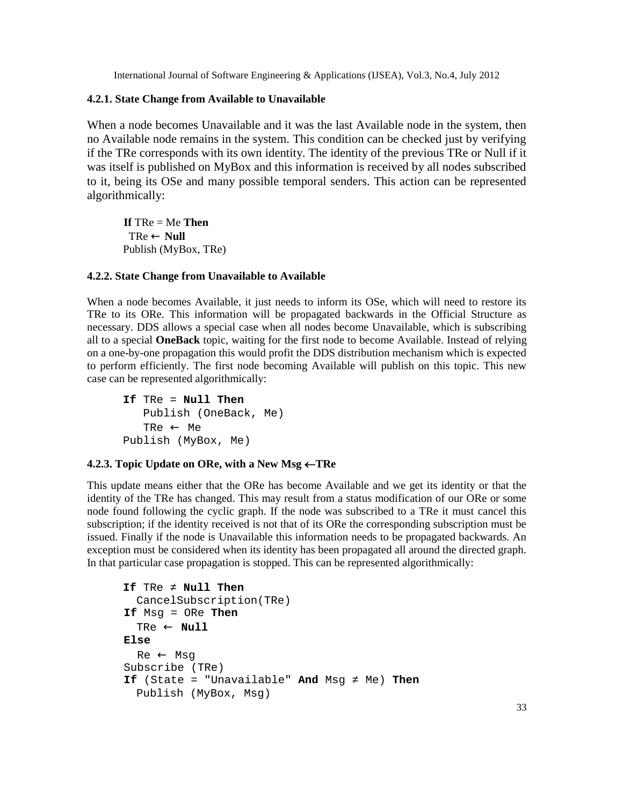#### **4.2.1. State Change from Available to Unavailable**

When a node becomes Unavailable and it was the last Available node in the system, then no Available node remains in the system. This condition can be checked just by verifying if the TRe corresponds with its own identity. The identity of the previous TRe or Null if it was itself is published on MyBox and this information is received by all nodes subscribed to it, being its OSe and many possible temporal senders. This action can be represented algorithmically:

**If** TRe = Me **Then**  $TRe \leftarrow$  **Null** Publish (MyBox, TRe)

#### **4.2.2. State Change from Unavailable to Available**

When a node becomes Available, it just needs to inform its OSe, which will need to restore its TRe to its ORe. This information will be propagated backwards in the Official Structure as necessary. DDS allows a special case when all nodes become Unavailable, which is subscribing all to a special **OneBack** topic, waiting for the first node to become Available. Instead of relying on a one-by-one propagation this would profit the DDS distribution mechanism which is expected to perform efficiently. The first node becoming Available will publish on this topic. This new case can be represented algorithmically:

**If** TRe = **Null Then** Publish (OneBack, Me) TRe  $\leftarrow$  Me Publish (MyBox, Me)

#### **4.2.3.** Topic Update on ORe, with a New Msg  $\leftarrow$  TRe

This update means either that the ORe has become Available and we get its identity or that the identity of the TRe has changed. This may result from a status modification of our ORe or some node found following the cyclic graph. If the node was subscribed to a TRe it must cancel this subscription; if the identity received is not that of its ORe the corresponding subscription must be issued. Finally if the node is Unavailable this information needs to be propagated backwards. An exception must be considered when its identity has been propagated all around the directed graph. In that particular case propagation is stopped. This can be represented algorithmically:

```
If TRe Null Then
  CancelSubscription(TRe)
If Msg = ORe Then
  TRe ← Null
Else
  Re ← Msg
Subscribe (TRe)
If (State = "Unavailable" And Msg Me) Then
  Publish (MyBox, Msg)
```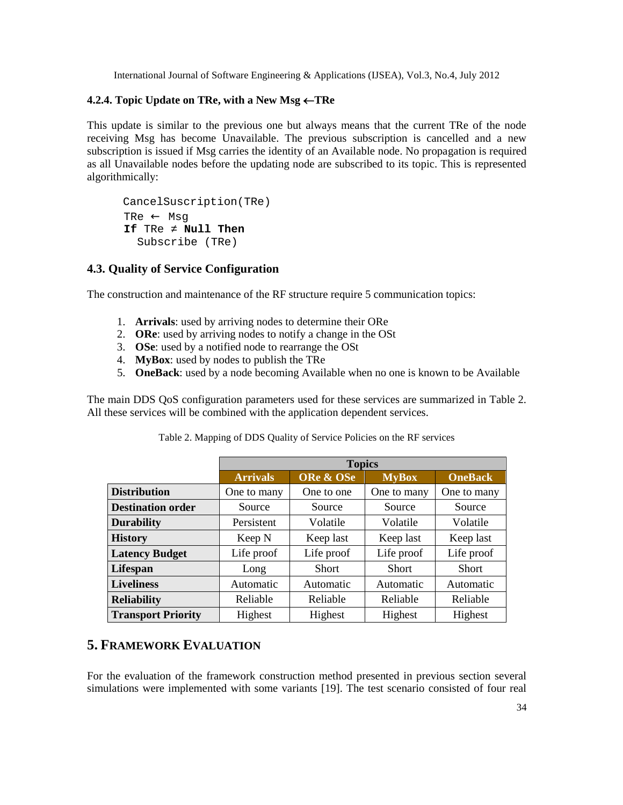#### **4.2.4.** Topic Update on TRe, with a New Msg ← TRe

This update is similar to the previous one but always means that the current TRe of the node receiving Msg has become Unavailable. The previous subscription is cancelled and a new subscription is issued if Msg carries the identity of an Available node. No propagation is required as all Unavailable nodes before the updating node are subscribed to its topic. This is represented algorithmically:

CancelSuscription(TRe) TRe ← Msg **If** TRe **Null Then** Subscribe (TRe)

#### **4.3. Quality of Service Configuration**

The construction and maintenance of the RF structure require 5 communication topics:

- 1. **Arrivals**: used by arriving nodes to determine their ORe
- 2. **ORe**: used by arriving nodes to notify a change in the OSt
- 3. **OSe**: used by a notified node to rearrange the OSt
- 4. **MyBox**: used by nodes to publish the TRe
- 5. **OneBack**: used by a node becoming Available when no one is known to be Available

The main DDS QoS configuration parameters used for these services are summarized in Table 2. All these services will be combined with the application dependent services.

|                           | <b>Topics</b>   |              |              |                |
|---------------------------|-----------------|--------------|--------------|----------------|
|                           | <b>Arrivals</b> | ORe & OSe    | <b>MyBox</b> | <b>OneBack</b> |
| <b>Distribution</b>       | One to many     | One to one   | One to many  | One to many    |
| <b>Destination order</b>  | Source          | Source       | Source       | Source         |
| <b>Durability</b>         | Persistent      | Volatile     | Volatile     | Volatile       |
| <b>History</b>            | Keep N          | Keep last    | Keep last    | Keep last      |
| <b>Latency Budget</b>     | Life proof      | Life proof   | Life proof   | Life proof     |
| Lifespan                  | Long            | <b>Short</b> | <b>Short</b> | <b>Short</b>   |
| <b>Liveliness</b>         | Automatic       | Automatic    | Automatic    | Automatic      |
| <b>Reliability</b>        | Reliable        | Reliable     | Reliable     | Reliable       |
| <b>Transport Priority</b> | Highest         | Highest      | Highest      | Highest        |

Table 2. Mapping of DDS Quality of Service Policies on the RF services

# **5. FRAMEWORK EVALUATION**

For the evaluation of the framework construction method presented in previous section several simulations were implemented with some variants [19]. The test scenario consisted of four real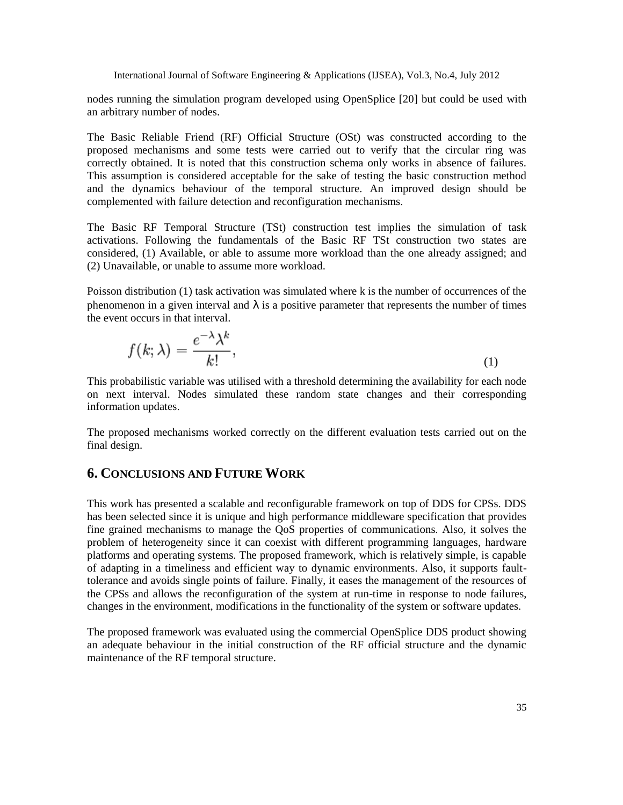nodes running the simulation program developed using OpenSplice [20] but could be used with an arbitrary number of nodes.

The Basic Reliable Friend (RF) Official Structure (OSt) was constructed according to the proposed mechanisms and some tests were carried out to verify that the circular ring was correctly obtained. It is noted that this construction schema only works in absence of failures. This assumption is considered acceptable for the sake of testing the basic construction method and the dynamics behaviour of the temporal structure. An improved design should be complemented with failure detection and reconfiguration mechanisms.

The Basic RF Temporal Structure (TSt) construction test implies the simulation of task activations. Following the fundamentals of the Basic RF TSt construction two states are considered, (1) Available, or able to assume more workload than the one already assigned; and (2) Unavailable, or unable to assume more workload.

Poisson distribution (1) task activation was simulated where k is the number of occurrences of the phenomenon in a given interval and  $\lambda$  is a positive parameter that represents the number of times the event occurs in that interval.

$$
f(k; \lambda) = \frac{e^{-\lambda} \lambda^k}{k!},
$$
\n<sup>(1)</sup>

This probabilistic variable was utilised with a threshold determining the availability for each node on next interval. Nodes simulated these random state changes and their corresponding information updates.

The proposed mechanisms worked correctly on the different evaluation tests carried out on the final design.

# **6. CONCLUSIONS AND FUTURE WORK**

This work has presented a scalable and reconfigurable framework on top of DDS for CPSs. DDS has been selected since it is unique and high performance middleware specification that provides fine grained mechanisms to manage the QoS properties of communications. Also, it solves the problem of heterogeneity since it can coexist with different programming languages, hardware platforms and operating systems. The proposed framework, which is relatively simple, is capable of adapting in a timeliness and efficient way to dynamic environments. Also, it supports faulttolerance and avoids single points of failure. Finally, it eases the management of the resources of the CPSs and allows the reconfiguration of the system at run-time in response to node failures, changes in the environment, modifications in the functionality of the system or software updates.

The proposed framework was evaluated using the commercial OpenSplice DDS product showing an adequate behaviour in the initial construction of the RF official structure and the dynamic maintenance of the RF temporal structure.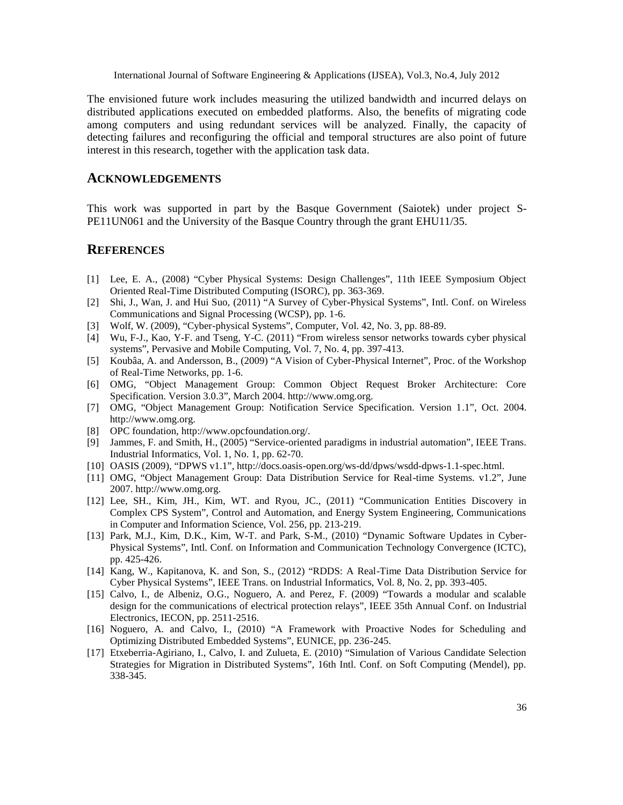The envisioned future work includes asserting the utilized bandwidth and incurred delays on distributed applications executed on embedded platforms. Also, the benefits of migrating code among computers and using redundant services will be analyzed. Finally, the capacity of detecting failures and reconfiguring the official and temporal structures are also point of future interest in this research, together with the application task data.

## ACKNOWLEDGEMENTS

This work was supported in part by the Basque Government (Saiotek) under  $\beta$ -PE11UN061 and the University of the Basque Country through the grant EHU11/35.

# **REFERENCES**

- [1] Lee, E. A., (2008) , Cyber Physical Systems: Design Challenges f, 11th IEEE Symposium Object Oriented Reallime Distributed Computing (ISORC), pp. 3689.
- [2] Shi, J., Wan, J. and Hui Suo, (2011) , A Survey of CyBaysical Systems f, Intl. Conf. on Wireless Communications and Signal Processing (WCSP),  $pD$ . 1
- [3] Wolf, W. (2009),  $Cyberphysical Systems f, Computer, Vol. 42, No. 3, pp8988$
- [4] Wu, F-J., Kao,Y-F. and Tseng, Y. (2011) From wireless sensor networks towards cyber physical systemsf, Pervasive and Mobile Computing, Vol. 7, No. 4, pp4397
- [5] Koub,,a, A. and Andersson, B., (2009) ,A Vision of Cybehysical Internetf, Proc. of the Workshop of Real-Time Networks, pp. -6.
- [6] OMG, 'Object Management Group: Common Object Request Broker Architecture: Core Specification. Version 3.0.3ƒ, March 20[04. http://www.omg](http://www.omg.org).org.
- [7] OMG, Object Management Group: Notification Service Specification. Versidrf, 1Oct. 2004. <http://www.omg.org>.
- [8] OPC foundatio[n, http://www.opcfoundation.o](http://www.opcfoundation.org/)rg/.
- [9] Jammes, F. and Smith, H., (2005) , Serviguented paradigms in industrial automation f, IEEE Trans. Industrial Informatics, Vol. 1, No. 1, pp. 620.
- [10] OASIS (2009), ,DPWS v1.1f, http://docs.oasispen.org/wsdd/dpws/wsdddpws1.1-spec.html.
- [11] OMG, Object Management Group: Data Distribution Service for Rigare Systems. v1.2 $f$ , June 2007[. http://www.omg.or](http://www.omg.org)g.
- [12] Lee, SH., Kim, JH., Kim, WT. and Ryou, JC., (201, Communication Entities Discovery in Complex CPS Systemƒ, Control and Automation, and Energy System Engineering, Communications in Computer and Information Science, Vol. 256, pp.-219.
- [13] Park, M.J., Kim, D.K., Kim, WT. and Park, SM., (2010) ,Dynamic Software Updates in Cyber Physical Systemsƒ, Intl. Conf. on Information and Communication Technology Convergence (ICTC), pp. 425-426.
- [14] Kang, W., Kapitanova, K. and Son, S., (2012) , RDDS: A REinate Data Distribution Service for Cyber Physical Sytems f, IEEE Trans. on Industrial Informatics, Vol. 8, No. 2, pp-43953
- [15] Calvo, I., de Albeniz, O.G., Noguero, A. and Perez, F. (2009) Towards a modular and scalable design for the communications of electrical protection relaysf, IEEE 35th Annual Coolndustrial Electronics, IECON, pp. 2512516.
- [16] Noguero, A. and Calvo, I., (2010) , A Framework with Proactive Nodes for Scheduling and Optimizing Distributed Embedded Systems f, EUNICE, pp-2466.
- [17] EtxeberriaAgiriano, I., Calvo, I. and Zulata, E. (2010) , Simulation of Various Candidate Selection Strategies for Migration in Distributed Systemsƒ, 16th Intl. Conf. on Soft Computing (Mendel), pp. 338-345.